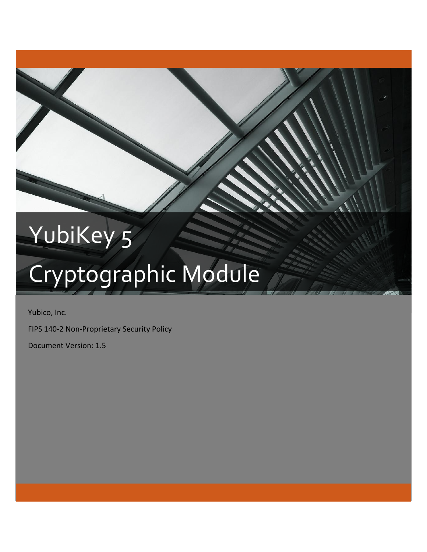## YubiKey 5

# Cryptographic Module

Yubico, Inc.

FIPS 140-2 Non-Proprietary Security Policy

Document Version: 1.5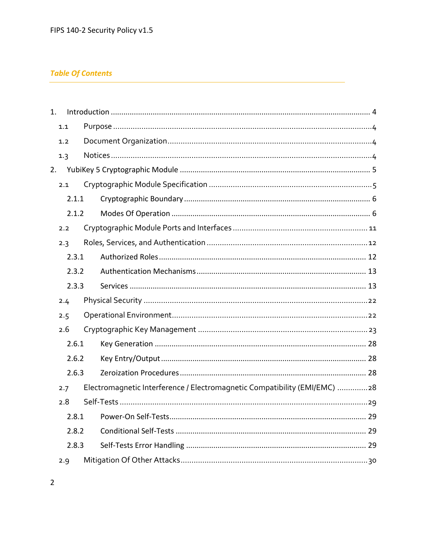## **Table Of Contents**

| 1. |       |                                                                           |  |
|----|-------|---------------------------------------------------------------------------|--|
|    | 1.1   |                                                                           |  |
|    | 1.2   |                                                                           |  |
|    | 1.3   |                                                                           |  |
|    |       |                                                                           |  |
|    | 2.1   |                                                                           |  |
|    | 2.1.1 |                                                                           |  |
|    | 2.1.2 |                                                                           |  |
|    | 2.2   |                                                                           |  |
|    | 2.3   |                                                                           |  |
|    | 2.3.1 |                                                                           |  |
|    | 2.3.2 |                                                                           |  |
|    | 2.3.3 |                                                                           |  |
|    | 2.4   |                                                                           |  |
|    | 2.5   |                                                                           |  |
|    | 2.6   |                                                                           |  |
|    | 2.6.1 |                                                                           |  |
|    | 2.6.2 |                                                                           |  |
|    | 2.6.3 |                                                                           |  |
|    | 2.7   | Electromagnetic Interference / Electromagnetic Compatibility (EMI/EMC) 28 |  |
|    | 2.8   |                                                                           |  |
|    | 2.8.1 |                                                                           |  |
|    | 2.8.2 |                                                                           |  |
|    | 2.8.3 |                                                                           |  |
|    | 2.9   |                                                                           |  |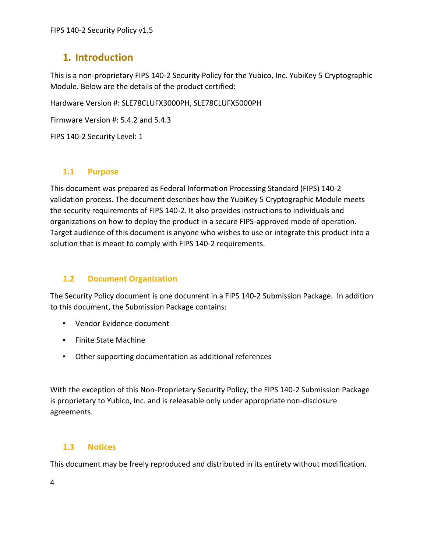## <span id="page-3-0"></span>**1. Introduction**

This is a non-proprietary FIPS 140-2 Security Policy for the Yubico, Inc. YubiKey 5 Cryptographic Module. Below are the details of the product certified:

Hardware Version #: SLE78CLUFX3000PH, SLE78CLUFX5000PH

Firmware Version #: 5.4.2 and 5.4.3

FIPS 140-2 Security Level: 1

## <span id="page-3-1"></span>**1.1 Purpose**

This document was prepared as Federal Information Processing Standard (FIPS) 140-2 validation process. The document describes how the YubiKey 5 Cryptographic Module meets the security requirements of FIPS 140-2. It also provides instructions to individuals and organizations on how to deploy the product in a secure FIPS-approved mode of operation. Target audience of this document is anyone who wishes to use or integrate this product into a solution that is meant to comply with FIPS 140-2 requirements.

## <span id="page-3-2"></span>**1.2 Document Organization**

The Security Policy document is one document in a FIPS 140-2 Submission Package. In addition to this document, the Submission Package contains:

- Vendor Evidence document
- Finite State Machine
- Other supporting documentation as additional references

With the exception of this Non-Proprietary Security Policy, the FIPS 140-2 Submission Package is proprietary to Yubico, Inc. and is releasable only under appropriate non-disclosure agreements.

## <span id="page-3-3"></span>**1.3 Notices**

This document may be freely reproduced and distributed in its entirety without modification.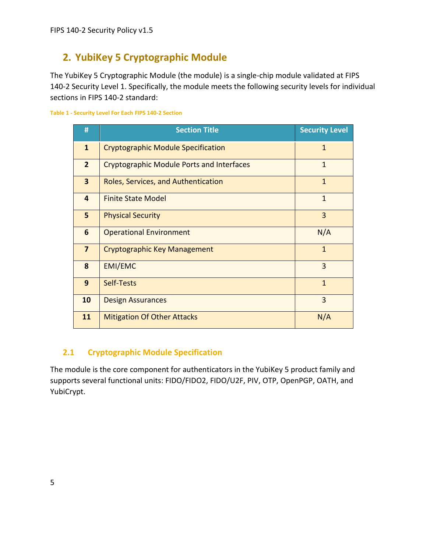## <span id="page-4-0"></span>**2. YubiKey 5 Cryptographic Module**

The YubiKey 5 Cryptographic Module (the module) is a single-chip module validated at FIPS 140-2 Security Level 1. Specifically, the module meets the following security levels for individual sections in FIPS 140-2 standard:

#### **Table 1 - Security Level For Each FIPS 140-2 Section**

| #                       | <b>Section Title</b>                                | <b>Security Level</b> |
|-------------------------|-----------------------------------------------------|-----------------------|
| $\mathbf{1}$            | <b>Cryptographic Module Specification</b>           | $\mathbf{1}$          |
| 2 <sup>1</sup>          | <b>Cryptographic Module Ports and Interfaces</b>    | $\mathbf{1}$          |
| $\overline{\mathbf{3}}$ | Roles, Services, and Authentication<br>$\mathbf{1}$ |                       |
| 4                       | $\mathbf{1}$<br><b>Finite State Model</b>           |                       |
| 5                       | <b>Physical Security</b>                            | 3                     |
| 6                       | <b>Operational Environment</b>                      | N/A                   |
| $\overline{7}$          | $\overline{1}$<br>Cryptographic Key Management      |                       |
| 8                       | $\overline{3}$<br>EMI/EMC                           |                       |
| 9                       | Self-Tests                                          | $\mathbf{1}$          |
| 10                      | <b>Design Assurances</b>                            | 3                     |
| 11                      | <b>Mitigation Of Other Attacks</b>                  | N/A                   |

## <span id="page-4-1"></span>**2.1 Cryptographic Module Specification**

The module is the core component for authenticators in the YubiKey 5 product family and supports several functional units: FIDO/FIDO2, FIDO/U2F, PIV, OTP, OpenPGP, OATH, and YubiCrypt.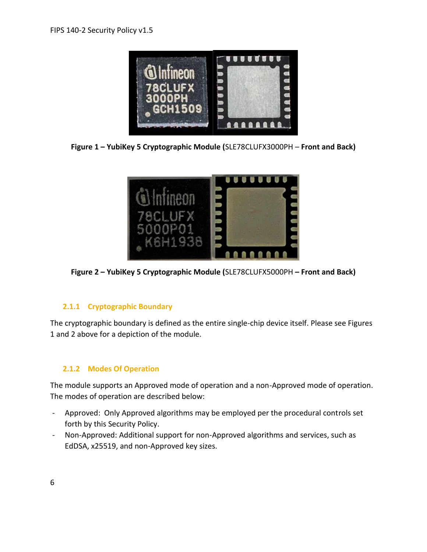

**Figure 1 – YubiKey 5 Cryptographic Module (**SLE78CLUFX3000PH – **Front and Back)**



**Figure 2 – YubiKey 5 Cryptographic Module (**SLE78CLUFX5000PH **– Front and Back)**

## <span id="page-5-0"></span>**2.1.1 Cryptographic Boundary**

The cryptographic boundary is defined as the entire single-chip device itself. Please see Figures 1 and 2 above for a depiction of the module.

## <span id="page-5-1"></span>**2.1.2 Modes Of Operation**

The module supports an Approved mode of operation and a non-Approved mode of operation. The modes of operation are described below:

- Approved: Only Approved algorithms may be employed per the procedural controls set forth by this Security Policy.
- Non-Approved: Additional support for non-Approved algorithms and services, such as EdDSA, x25519, and non-Approved key sizes.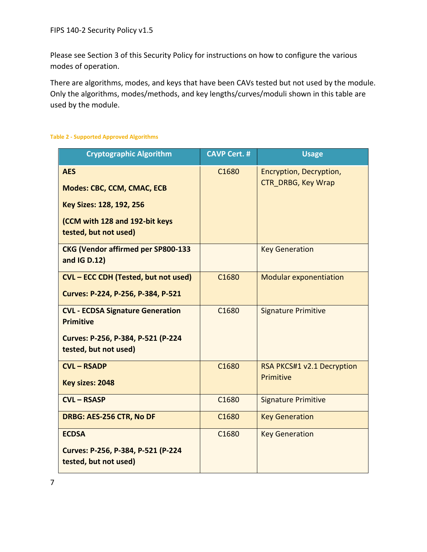Please see Section 3 of this Security Policy for instructions on how to configure the various modes of operation.

There are algorithms, modes, and keys that have been CAVs tested but not used by the module. Only the algorithms, modes/methods, and key lengths/curves/moduli shown in this table are used by the module.

#### **Table 2 - Supported Approved Algorithms**

| <b>Cryptographic Algorithm</b>                              | <b>CAVP Cert. #</b> | <b>Usage</b>                            |
|-------------------------------------------------------------|---------------------|-----------------------------------------|
| <b>AES</b>                                                  | C1680               | Encryption, Decryption,                 |
| <b>Modes: CBC, CCM, CMAC, ECB</b>                           |                     | <b>CTR DRBG, Key Wrap</b>               |
| Key Sizes: 128, 192, 256                                    |                     |                                         |
| (CCM with 128 and 192-bit keys<br>tested, but not used)     |                     |                                         |
| <b>CKG (Vendor affirmed per SP800-133</b><br>and IG D.12)   |                     | <b>Key Generation</b>                   |
| CVL - ECC CDH (Tested, but not used)                        | C1680               | <b>Modular exponentiation</b>           |
| Curves: P-224, P-256, P-384, P-521                          |                     |                                         |
| <b>CVL - ECDSA Signature Generation</b><br><b>Primitive</b> | C1680               | <b>Signature Primitive</b>              |
| Curves: P-256, P-384, P-521 (P-224<br>tested, but not used) |                     |                                         |
| <b>CVL - RSADP</b>                                          | C1680               | RSA PKCS#1 v2.1 Decryption<br>Primitive |
| Key sizes: 2048                                             |                     |                                         |
| <b>CVL-RSASP</b>                                            | C1680               | <b>Signature Primitive</b>              |
| DRBG: AES-256 CTR, No DF                                    | C1680               | <b>Key Generation</b>                   |
| <b>ECDSA</b>                                                | C <sub>1680</sub>   | <b>Key Generation</b>                   |
| Curves: P-256, P-384, P-521 (P-224<br>tested, but not used) |                     |                                         |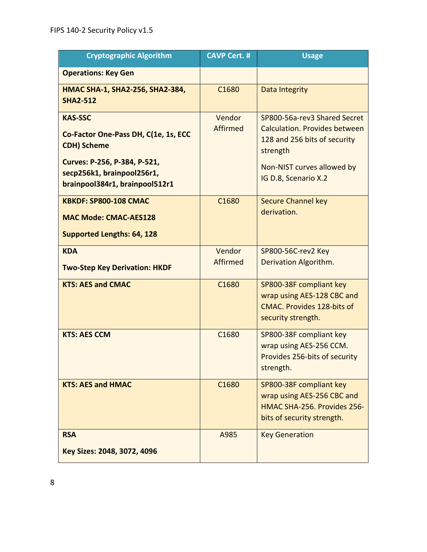| <b>Cryptographic Algorithm</b>                                                                                                                                               | <b>CAVP Cert. #</b> | <b>Usage</b>                                                                                                                                                           |
|------------------------------------------------------------------------------------------------------------------------------------------------------------------------------|---------------------|------------------------------------------------------------------------------------------------------------------------------------------------------------------------|
| <b>Operations: Key Gen</b>                                                                                                                                                   |                     |                                                                                                                                                                        |
| HMAC SHA-1, SHA2-256, SHA2-384,<br><b>SHA2-512</b>                                                                                                                           | C1680               | Data Integrity                                                                                                                                                         |
| <b>KAS-SSC</b><br>Co-Factor One-Pass DH, C(1e, 1s, ECC<br><b>CDH) Scheme</b><br>Curves: P-256, P-384, P-521,<br>secp256k1, brainpool256r1,<br>brainpool384r1, brainpool512r1 | Vendor<br>Affirmed  | SP800-56a-rev3 Shared Secret<br><b>Calculation. Provides between</b><br>128 and 256 bits of security<br>strength<br>Non-NIST curves allowed by<br>IG D.8, Scenario X.2 |
| <b>KBKDF: SP800-108 CMAC</b><br><b>MAC Mode: CMAC-AES128</b><br><b>Supported Lengths: 64, 128</b>                                                                            | C1680               | <b>Secure Channel key</b><br>derivation.                                                                                                                               |
| <b>KDA</b><br><b>Two-Step Key Derivation: HKDF</b>                                                                                                                           | Vendor<br>Affirmed  | SP800-56C-rev2 Key<br>Derivation Algorithm.                                                                                                                            |
| <b>KTS: AES and CMAC</b>                                                                                                                                                     | C1680               | SP800-38F compliant key<br>wrap using AES-128 CBC and<br><b>CMAC. Provides 128-bits of</b><br>security strength.                                                       |
| <b>KTS: AES CCM</b>                                                                                                                                                          | C1680               | SP800-38F compliant key<br>wrap using AES-256 CCM.<br>Provides 256-bits of security<br>strength.                                                                       |
| <b>KTS: AES and HMAC</b>                                                                                                                                                     | C <sub>1680</sub>   | SP800-38F compliant key<br>wrap using AES-256 CBC and<br>HMAC SHA-256. Provides 256-<br>bits of security strength.                                                     |
| <b>RSA</b><br>Key Sizes: 2048, 3072, 4096                                                                                                                                    | A985                | <b>Key Generation</b>                                                                                                                                                  |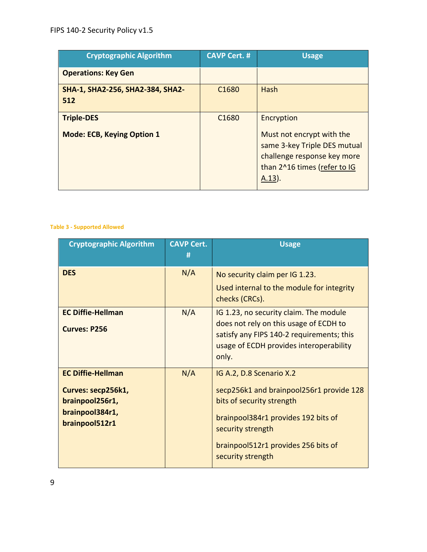| <b>Cryptographic Algorithm</b>          | <b>CAVP Cert. #</b> | <b>Usage</b>                                                                                                                        |
|-----------------------------------------|---------------------|-------------------------------------------------------------------------------------------------------------------------------------|
| <b>Operations: Key Gen</b>              |                     |                                                                                                                                     |
| SHA-1, SHA2-256, SHA2-384, SHA2-<br>512 | C <sub>1680</sub>   | Hash                                                                                                                                |
| <b>Triple-DES</b>                       | C <sub>1680</sub>   | Encryption                                                                                                                          |
| <b>Mode: ECB, Keying Option 1</b>       |                     | Must not encrypt with the<br>same 3-key Triple DES mutual<br>challenge response key more<br>than 2^16 times (refer to IG<br>(A.13). |

#### **Table 3 - Supported Allowed**

| <b>Cryptographic Algorithm</b>                                                                         | <b>CAVP Cert.</b><br># | <b>Usage</b>                                                                                                                                                                                                              |
|--------------------------------------------------------------------------------------------------------|------------------------|---------------------------------------------------------------------------------------------------------------------------------------------------------------------------------------------------------------------------|
| <b>DES</b>                                                                                             | N/A                    | No security claim per IG 1.23.<br>Used internal to the module for integrity<br>checks (CRCs).                                                                                                                             |
| <b>EC Diffie-Hellman</b><br><b>Curves: P256</b>                                                        | N/A                    | IG 1.23, no security claim. The module<br>does not rely on this usage of ECDH to<br>satisfy any FIPS 140-2 requirements; this<br>usage of ECDH provides interoperability<br>only.                                         |
| <b>EC Diffie-Hellman</b><br>Curves: secp256k1,<br>brainpool256r1,<br>brainpool384r1,<br>brainpool512r1 | N/A                    | IG A.2, D.8 Scenario X.2<br>secp256k1 and brainpool256r1 provide 128<br>bits of security strength<br>brainpool384r1 provides 192 bits of<br>security strength<br>brainpool512r1 provides 256 bits of<br>security strength |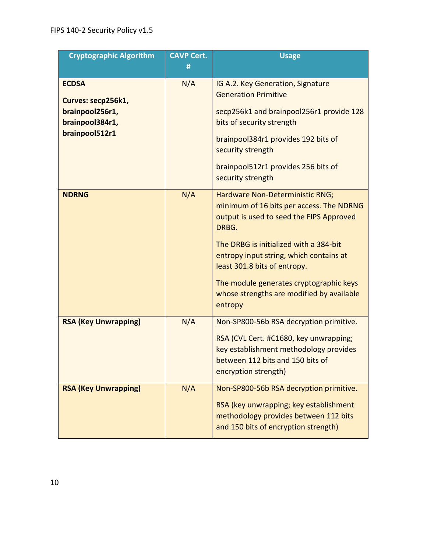| <b>Cryptographic Algorithm</b>     | <b>CAVP Cert.</b> | <b>Usage</b>                                                                                                                                                       |
|------------------------------------|-------------------|--------------------------------------------------------------------------------------------------------------------------------------------------------------------|
|                                    | #                 |                                                                                                                                                                    |
| <b>ECDSA</b><br>Curves: secp256k1, | N/A               | IG A.2. Key Generation, Signature<br><b>Generation Primitive</b>                                                                                                   |
| brainpool256r1,<br>brainpool384r1, |                   | secp256k1 and brainpool256r1 provide 128<br>bits of security strength                                                                                              |
| brainpool512r1                     |                   | brainpool384r1 provides 192 bits of<br>security strength                                                                                                           |
|                                    |                   | brainpool512r1 provides 256 bits of<br>security strength                                                                                                           |
| <b>NDRNG</b>                       | N/A               | Hardware Non-Deterministic RNG;<br>minimum of 16 bits per access. The NDRNG<br>output is used to seed the FIPS Approved<br>DRBG.                                   |
|                                    |                   | The DRBG is initialized with a 384-bit<br>entropy input string, which contains at<br>least 301.8 bits of entropy.                                                  |
|                                    |                   | The module generates cryptographic keys<br>whose strengths are modified by available<br>entropy                                                                    |
| <b>RSA (Key Unwrapping)</b>        | N/A               | Non-SP800-56b RSA decryption primitive.                                                                                                                            |
|                                    |                   | RSA (CVL Cert. #C1680, key unwrapping;<br>key establishment methodology provides<br>between 112 bits and 150 bits of<br>encryption strength)                       |
| <b>RSA (Key Unwrapping)</b>        | N/A               | Non-SP800-56b RSA decryption primitive.<br>RSA (key unwrapping; key establishment<br>methodology provides between 112 bits<br>and 150 bits of encryption strength) |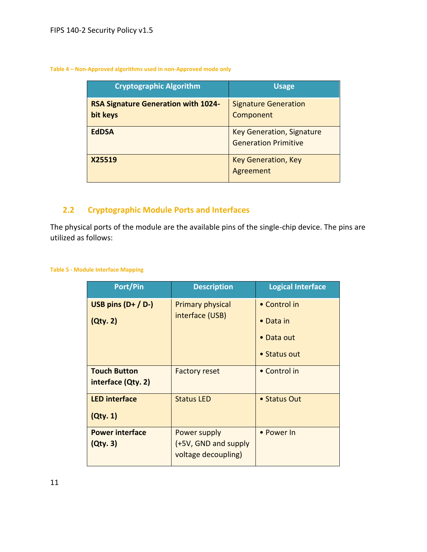#### **Table 4 – Non-Approved algorithms used in non-Approved mode only**

| <b>Cryptographic Algorithm</b>                         | <b>Usage</b>                                                    |
|--------------------------------------------------------|-----------------------------------------------------------------|
| <b>RSA Signature Generation with 1024-</b><br>bit keys | <b>Signature Generation</b><br>Component                        |
| <b>EdDSA</b>                                           | <b>Key Generation, Signature</b><br><b>Generation Primitive</b> |
| X25519                                                 | <b>Key Generation, Key</b><br>Agreement                         |

## <span id="page-10-0"></span>**2.2 Cryptographic Module Ports and Interfaces**

The physical ports of the module are the available pins of the single-chip device. The pins are utilized as follows:

#### **Table 5 - Module Interface Mapping**

| <b>Port/Pin</b>                           | <b>Description</b>                                          | <b>Logical Interface</b>                                                   |
|-------------------------------------------|-------------------------------------------------------------|----------------------------------------------------------------------------|
| USB pins $(D+ / D-)$<br>(Qty. 2)          | <b>Primary physical</b><br>interface (USB)                  | • Control in<br>$\bullet$ Data in<br>Data out<br>$\bullet$<br>• Status out |
| <b>Touch Button</b><br>interface (Qty. 2) | <b>Factory reset</b>                                        | • Control in                                                               |
| <b>LED interface</b><br>(Qty. 1)          | <b>Status LED</b>                                           | • Status Out                                                               |
| <b>Power interface</b><br>(Qty. 3)        | Power supply<br>(+5V, GND and supply<br>voltage decoupling) | • Power In                                                                 |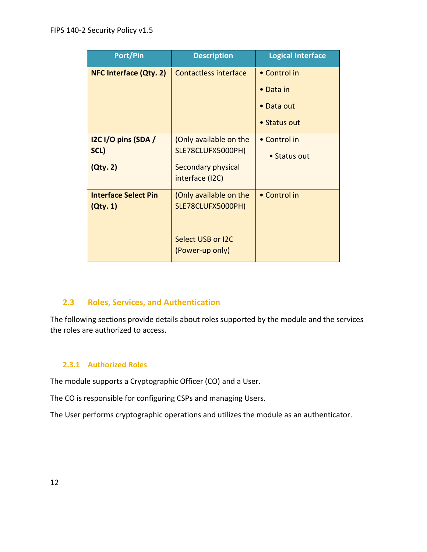| <b>Port/Pin</b>                         | <b>Description</b>                                                                   | <b>Logical Interface</b>                                        |
|-----------------------------------------|--------------------------------------------------------------------------------------|-----------------------------------------------------------------|
| <b>NFC Interface (Qty. 2)</b>           | <b>Contactless interface</b>                                                         | • Control in<br>$\bullet$ Data in<br>• Data out<br>• Status out |
| I2C I/O pins (SDA /<br>SCL)<br>(Qty. 2) | (Only available on the<br>SLE78CLUFX5000PH)<br>Secondary physical<br>interface (I2C) | • Control in<br>• Status out                                    |
| <b>Interface Select Pin</b><br>(Qty. 1) | (Only available on the<br>SLE78CLUFX5000PH)<br>Select USB or I2C<br>(Power-up only)  | • Control in                                                    |

## <span id="page-11-0"></span>**2.3 Roles, Services, and Authentication**

The following sections provide details about roles supported by the module and the services the roles are authorized to access.

## <span id="page-11-1"></span>**2.3.1 Authorized Roles**

The module supports a Cryptographic Officer (CO) and a User.

The CO is responsible for configuring CSPs and managing Users.

The User performs cryptographic operations and utilizes the module as an authenticator.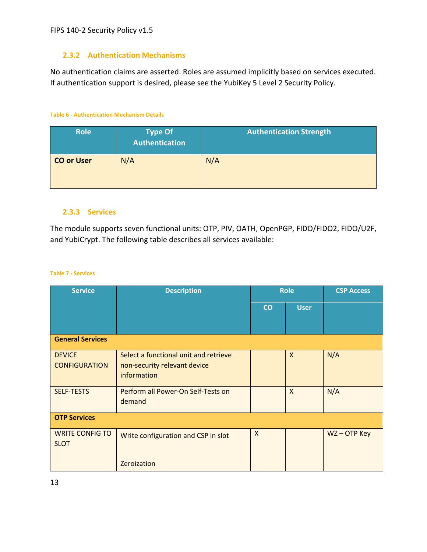## <span id="page-12-0"></span>**2.3.2 Authentication Mechanisms**

No authentication claims are asserted. Roles are assumed implicitly based on services executed. If authentication support is desired, please see the YubiKey 5 Level 2 Security Policy.

#### **Table 6 - Authentication Mechanism Details**

| <b>Role</b>       | <b>Type Of</b><br><b>Authentication</b> | <b>Authentication Strength</b> |
|-------------------|-----------------------------------------|--------------------------------|
| <b>CO or User</b> | N/A                                     | N/A                            |

### <span id="page-12-1"></span>**2.3.3 Services**

The module supports seven functional units: OTP, PIV, OATH, OpenPGP, FIDO/FIDO2, FIDO/U2F, and YubiCrypt. The following table describes all services available:

#### **Table 7 - Services**

| <b>Service</b>                        | <b>Description</b>                                                                   | <b>Role</b>    |                           | <b>CSP Access</b> |
|---------------------------------------|--------------------------------------------------------------------------------------|----------------|---------------------------|-------------------|
|                                       |                                                                                      | $\overline{c}$ | <b>User</b>               |                   |
| <b>General Services</b>               |                                                                                      |                |                           |                   |
| <b>DEVICE</b><br><b>CONFIGURATION</b> | Select a functional unit and retrieve<br>non-security relevant device<br>information |                | $\mathsf{X}$              | N/A               |
| <b>SELF-TESTS</b>                     | Perform all Power-On Self-Tests on<br>demand                                         |                | $\boldsymbol{\mathsf{X}}$ | N/A               |
| <b>OTP Services</b>                   |                                                                                      |                |                           |                   |
| <b>WRITE CONFIG TO</b><br><b>SLOT</b> | Write configuration and CSP in slot                                                  | X              |                           | WZ-OTP Key        |
|                                       | Zeroization                                                                          |                |                           |                   |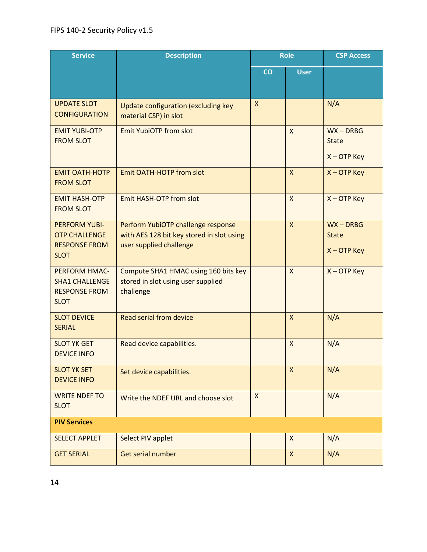| <b>Service</b>                                                                       | <b>Description</b>                                                                                         | <b>Role</b>               |              | <b>CSP Access</b>                            |
|--------------------------------------------------------------------------------------|------------------------------------------------------------------------------------------------------------|---------------------------|--------------|----------------------------------------------|
|                                                                                      |                                                                                                            | co                        | <b>User</b>  |                                              |
| <b>UPDATE SLOT</b><br><b>CONFIGURATION</b>                                           | Update configuration (excluding key<br>material CSP) in slot                                               | $\boldsymbol{\mathsf{X}}$ |              | N/A                                          |
| <b>EMIT YUBI-OTP</b><br><b>FROM SLOT</b>                                             | <b>Emit YubiOTP from slot</b>                                                                              |                           | X            | $WX - DRBG$<br><b>State</b><br>$X - OTP$ Key |
| <b>EMIT OATH-HOTP</b><br><b>FROM SLOT</b>                                            | <b>Emit OATH-HOTP from slot</b>                                                                            |                           | $\mathsf{X}$ | $X - OTP$ Key                                |
| <b>EMIT HASH-OTP</b><br><b>FROM SLOT</b>                                             | Emit HASH-OTP from slot                                                                                    |                           | $\mathsf{x}$ | $X - OTP$ Key                                |
| <b>PERFORM YUBI-</b><br><b>OTP CHALLENGE</b><br><b>RESPONSE FROM</b><br><b>SLOT</b>  | Perform YubiOTP challenge response<br>with AES 128 bit key stored in slot using<br>user supplied challenge |                           | $\mathsf{x}$ | $WX - DRBG$<br><b>State</b><br>$X - OTP$ Key |
| <b>PERFORM HMAC-</b><br><b>SHA1 CHALLENGE</b><br><b>RESPONSE FROM</b><br><b>SLOT</b> | Compute SHA1 HMAC using 160 bits key<br>stored in slot using user supplied<br>challenge                    |                           | $\mathsf{x}$ | $X -$ OTP Key                                |
| <b>SLOT DEVICE</b><br><b>SERIAL</b>                                                  | Read serial from device                                                                                    |                           | X            | N/A                                          |
| <b>SLOT YK GET</b><br><b>DEVICE INFO</b>                                             | Read device capabilities.                                                                                  |                           | X            | N/A                                          |
| <b>SLOT YK SET</b><br><b>DEVICE INFO</b>                                             | Set device capabilities.                                                                                   |                           | X            | N/A                                          |
| <b>WRITE NDEF TO</b><br><b>SLOT</b>                                                  | Write the NDEF URL and choose slot                                                                         | $\pmb{\mathsf{X}}$        |              | N/A                                          |
| <b>PIV Services</b>                                                                  |                                                                                                            |                           |              |                                              |
| <b>SELECT APPLET</b>                                                                 | Select PIV applet                                                                                          |                           | X            | N/A                                          |
| <b>GET SERIAL</b>                                                                    | Get serial number                                                                                          |                           | $\mathsf{X}$ | N/A                                          |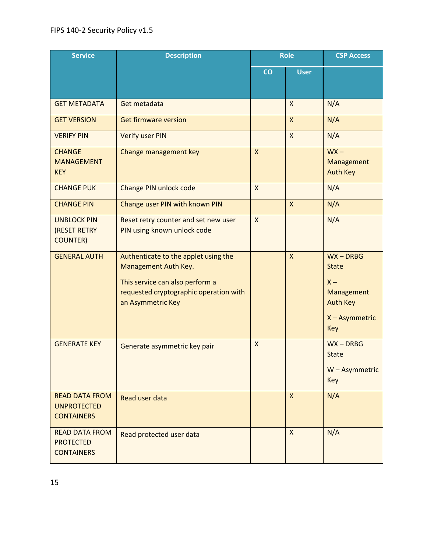| <b>Service</b>                                                   | <b>Description</b>                                                                                                                                             | <b>Role</b>               |                | <b>CSP Access</b>                                                                              |
|------------------------------------------------------------------|----------------------------------------------------------------------------------------------------------------------------------------------------------------|---------------------------|----------------|------------------------------------------------------------------------------------------------|
|                                                                  |                                                                                                                                                                | CO                        | <b>User</b>    |                                                                                                |
| <b>GET METADATA</b>                                              | Get metadata                                                                                                                                                   |                           | $\mathsf{x}$   | N/A                                                                                            |
| <b>GET VERSION</b>                                               | <b>Get firmware version</b>                                                                                                                                    |                           | $\mathsf{X}$   | N/A                                                                                            |
| <b>VERIFY PIN</b>                                                | <b>Verify user PIN</b>                                                                                                                                         |                           | $\mathsf{X}$   | N/A                                                                                            |
| <b>CHANGE</b><br><b>MANAGEMENT</b><br><b>KEY</b>                 | Change management key                                                                                                                                          | $\mathsf{X}$              |                | $WX -$<br>Management<br><b>Auth Key</b>                                                        |
| <b>CHANGE PUK</b>                                                | Change PIN unlock code                                                                                                                                         | $\mathsf{X}$              |                | N/A                                                                                            |
| <b>CHANGE PIN</b>                                                | Change user PIN with known PIN                                                                                                                                 |                           | $\overline{X}$ | N/A                                                                                            |
| <b>UNBLOCK PIN</b><br>(RESET RETRY<br><b>COUNTER)</b>            | Reset retry counter and set new user<br>PIN using known unlock code                                                                                            | $\mathsf{X}$              |                | N/A                                                                                            |
| <b>GENERAL AUTH</b>                                              | Authenticate to the applet using the<br>Management Auth Key.<br>This service can also perform a<br>requested cryptographic operation with<br>an Asymmetric Key |                           | $\mathsf{x}$   | $WX - DRBG$<br><b>State</b><br>$X -$<br>Management<br><b>Auth Key</b><br>X - Asymmetric<br>Key |
| <b>GENERATE KEY</b>                                              | Generate asymmetric key pair                                                                                                                                   | $\boldsymbol{\mathsf{X}}$ |                | $WX - DRBG$<br><b>State</b><br>W - Asymmetric<br>Key                                           |
| <b>READ DATA FROM</b><br><b>UNPROTECTED</b><br><b>CONTAINERS</b> | Read user data                                                                                                                                                 |                           | $\mathsf{x}$   | N/A                                                                                            |
| <b>READ DATA FROM</b><br><b>PROTECTED</b><br><b>CONTAINERS</b>   | Read protected user data                                                                                                                                       |                           | X              | N/A                                                                                            |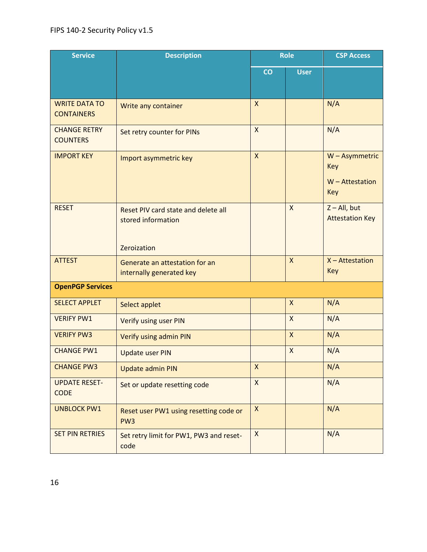| <b>Service</b>                            | <b>Description</b>                                                       | <b>Role</b>        |                           | <b>CSP Access</b>                                 |
|-------------------------------------------|--------------------------------------------------------------------------|--------------------|---------------------------|---------------------------------------------------|
|                                           |                                                                          | CO                 | <b>User</b>               |                                                   |
| <b>WRITE DATA TO</b><br><b>CONTAINERS</b> | Write any container                                                      | $\mathsf{x}$       |                           | N/A                                               |
| <b>CHANGE RETRY</b><br><b>COUNTERS</b>    | Set retry counter for PINs                                               | $\mathsf{x}$       |                           | N/A                                               |
| <b>IMPORT KEY</b>                         | Import asymmetric key                                                    | $\mathsf{x}$       |                           | W - Asymmetric<br>Key<br>$W - Attestation$<br>Key |
| <b>RESET</b>                              | Reset PIV card state and delete all<br>stored information<br>Zeroization |                    | $\mathsf{X}$              | $Z - All$ , but<br><b>Attestation Key</b>         |
| <b>ATTEST</b>                             | Generate an attestation for an<br>internally generated key               |                    | $\mathsf{x}$              | $X - Attestation$<br>Key                          |
| <b>OpenPGP Services</b>                   |                                                                          |                    |                           |                                                   |
| <b>SELECT APPLET</b>                      | Select applet                                                            |                    | X                         | N/A                                               |
| <b>VERIFY PW1</b>                         | Verify using user PIN                                                    |                    | $\boldsymbol{\mathsf{X}}$ | N/A                                               |
| <b>VERIFY PW3</b>                         | Verify using admin PIN                                                   |                    | $\mathsf{x}$              | N/A                                               |
| <b>CHANGE PW1</b>                         | <b>Update user PIN</b>                                                   |                    | X                         | N/A                                               |
| <b>CHANGE PW3</b>                         | <b>Update admin PIN</b>                                                  | Χ                  |                           | N/A                                               |
| <b>UPDATE RESET-</b><br><b>CODE</b>       | Set or update resetting code                                             | $\mathsf{X}$       |                           | N/A                                               |
| <b>UNBLOCK PW1</b>                        | Reset user PW1 using resetting code or<br>PW <sub>3</sub>                | $\pmb{\mathsf{X}}$ |                           | N/A                                               |
| <b>SET PIN RETRIES</b>                    | Set retry limit for PW1, PW3 and reset-<br>code                          | $\pmb{\mathsf{X}}$ |                           | N/A                                               |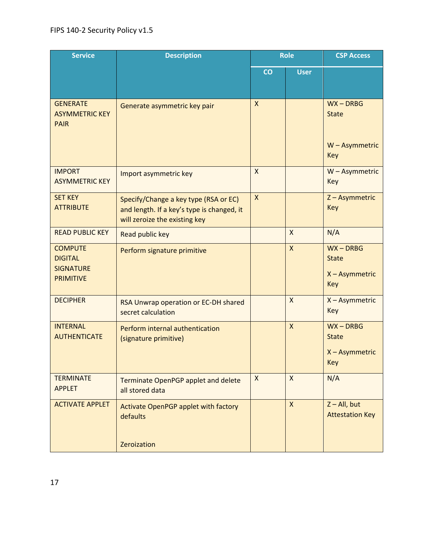| <b>Service</b>                                                           | <b>Description</b>                                                                                                   | <b>Role</b>               |              | <b>CSP Access</b>                                    |
|--------------------------------------------------------------------------|----------------------------------------------------------------------------------------------------------------------|---------------------------|--------------|------------------------------------------------------|
|                                                                          |                                                                                                                      | CO                        | <b>User</b>  |                                                      |
| <b>GENERATE</b><br><b>ASYMMETRIC KEY</b><br><b>PAIR</b>                  | Generate asymmetric key pair                                                                                         | $\mathsf{X}$              |              | $WX - DRBG$<br><b>State</b><br>W - Asymmetric<br>Key |
| <b>IMPORT</b><br><b>ASYMMETRIC KEY</b>                                   | Import asymmetric key                                                                                                | $\mathsf{X}$              |              | W - Asymmetric<br>Key                                |
| <b>SET KEY</b><br><b>ATTRIBUTE</b>                                       | Specify/Change a key type (RSA or EC)<br>and length. If a key's type is changed, it<br>will zeroize the existing key | $\boldsymbol{\mathsf{X}}$ |              | Z-Asymmetric<br>Key                                  |
| <b>READ PUBLIC KEY</b>                                                   | Read public key                                                                                                      |                           | $\mathsf{X}$ | N/A                                                  |
| <b>COMPUTE</b><br><b>DIGITAL</b><br><b>SIGNATURE</b><br><b>PRIMITIVE</b> | Perform signature primitive                                                                                          |                           | X            | $WX - DRBG$<br><b>State</b><br>X - Asymmetric<br>Key |
| <b>DECIPHER</b>                                                          | RSA Unwrap operation or EC-DH shared<br>secret calculation                                                           |                           | $\mathsf{x}$ | X - Asymmetric<br>Key                                |
| <b>INTERNAL</b><br><b>AUTHENTICATE</b>                                   | Perform internal authentication<br>(signature primitive)                                                             |                           | X            | $WX - DRBG$<br><b>State</b><br>X - Asymmetric<br>Key |
| <b>TERMINATE</b><br><b>APPLET</b>                                        | Terminate OpenPGP applet and delete<br>all stored data                                                               | $\boldsymbol{\mathsf{X}}$ | $\mathsf{x}$ | N/A                                                  |
| <b>ACTIVATE APPLET</b>                                                   | Activate OpenPGP applet with factory<br>defaults<br>Zeroization                                                      |                           | $\mathsf{x}$ | $Z - All$ , but<br><b>Attestation Key</b>            |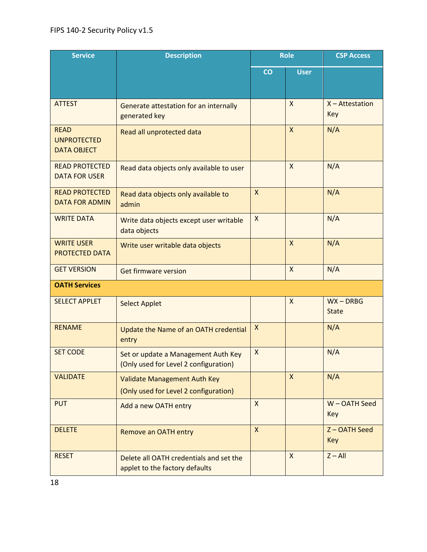| <b>Service</b>                                          | <b>Description</b>                                                           | <b>Role</b>        |                           | <b>CSP Access</b>           |  |
|---------------------------------------------------------|------------------------------------------------------------------------------|--------------------|---------------------------|-----------------------------|--|
|                                                         |                                                                              | CO                 | <b>User</b>               |                             |  |
| <b>ATTEST</b>                                           | Generate attestation for an internally<br>generated key                      |                    | $\boldsymbol{\mathsf{X}}$ | $X - Attestation$<br>Key    |  |
| <b>READ</b><br><b>UNPROTECTED</b><br><b>DATA OBJECT</b> | Read all unprotected data                                                    |                    | $\mathsf{X}$              | N/A                         |  |
| <b>READ PROTECTED</b><br><b>DATA FOR USER</b>           | Read data objects only available to user                                     |                    | $\mathsf{x}$              | N/A                         |  |
| <b>READ PROTECTED</b><br><b>DATA FOR ADMIN</b>          | Read data objects only available to<br>admin                                 | $\mathsf{X}$       |                           | N/A                         |  |
| <b>WRITE DATA</b>                                       | Write data objects except user writable<br>data objects                      | X                  |                           | N/A                         |  |
| <b>WRITE USER</b><br><b>PROTECTED DATA</b>              | Write user writable data objects                                             |                    | $\boldsymbol{\mathsf{X}}$ | N/A                         |  |
| <b>GET VERSION</b>                                      | <b>Get firmware version</b>                                                  |                    | $\mathsf{X}$              | N/A                         |  |
| <b>OATH Services</b>                                    |                                                                              |                    |                           |                             |  |
| <b>SELECT APPLET</b>                                    | <b>Select Applet</b>                                                         |                    | $\mathsf{X}$              | $WX - DRBG$<br><b>State</b> |  |
| <b>RENAME</b>                                           | Update the Name of an OATH credential<br>entry                               | $\pmb{\mathsf{X}}$ |                           | N/A                         |  |
| <b>SET CODE</b>                                         | Set or update a Management Auth Key<br>(Only used for Level 2 configuration) | $\pmb{\mathsf{X}}$ |                           | N/A                         |  |
| <b>VALIDATE</b>                                         | Validate Management Auth Key<br>(Only used for Level 2 configuration)        |                    | $\mathsf{X}$              | N/A                         |  |
| <b>PUT</b>                                              | Add a new OATH entry                                                         | $\mathsf{X}$       |                           | W-OATH Seed<br>Key          |  |
| <b>DELETE</b>                                           | Remove an OATH entry                                                         | $\mathsf{X}$       |                           | Z-OATH Seed<br><b>Key</b>   |  |
| <b>RESET</b>                                            | Delete all OATH credentials and set the<br>applet to the factory defaults    |                    | $\mathsf{X}$              | $Z - All$                   |  |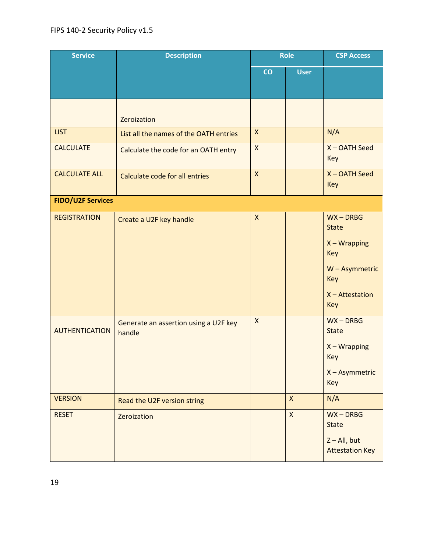| <b>Service</b>           | <b>Description</b>                              | <b>Role</b>               |              | <b>CSP Access</b>                                                                                         |
|--------------------------|-------------------------------------------------|---------------------------|--------------|-----------------------------------------------------------------------------------------------------------|
|                          |                                                 | CO                        | <b>User</b>  |                                                                                                           |
|                          | Zeroization                                     |                           |              |                                                                                                           |
| <b>LIST</b>              | List all the names of the OATH entries          | $\mathsf{X}$              |              | N/A                                                                                                       |
| <b>CALCULATE</b>         | Calculate the code for an OATH entry            | $\pmb{\mathsf{X}}$        |              | X-OATH Seed<br>Key                                                                                        |
| <b>CALCULATE ALL</b>     | Calculate code for all entries                  | $\boldsymbol{\mathsf{X}}$ |              | X-OATH Seed<br>Key                                                                                        |
| <b>FIDO/U2F Services</b> |                                                 |                           |              |                                                                                                           |
| <b>REGISTRATION</b>      | Create a U2F key handle                         | $\pmb{\mathsf{X}}$        |              | $WX - DRBG$<br><b>State</b><br>$X - Wrapping$<br>Key<br>W - Asymmetric<br>Key<br>$X - Attestation$<br>Key |
| <b>AUTHENTICATION</b>    | Generate an assertion using a U2F key<br>handle | $\mathsf{X}$              |              | $WX - DRBG$<br><b>State</b><br>$X - Wrapping$<br>Key<br>X - Asymmetric<br>Key                             |
| <b>VERSION</b>           | Read the U2F version string                     |                           | $\mathsf{x}$ | N/A                                                                                                       |
| <b>RESET</b>             | Zeroization                                     |                           | $\mathsf{x}$ | $WX - DRBG$<br><b>State</b><br>$Z - All$ , but<br><b>Attestation Key</b>                                  |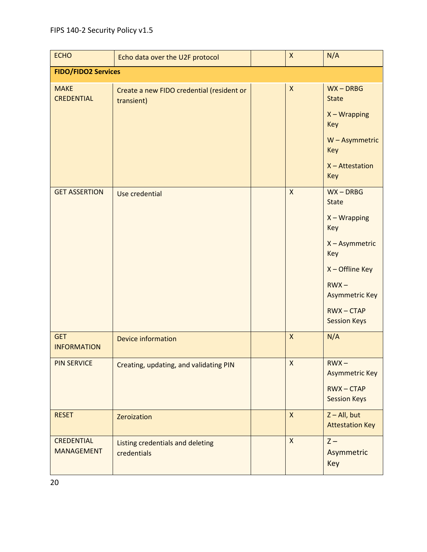| <b>ECHO</b>                            | Echo data over the U2F protocol                         | $\mathsf{X}$       | N/A                                                                                                                                                                         |
|----------------------------------------|---------------------------------------------------------|--------------------|-----------------------------------------------------------------------------------------------------------------------------------------------------------------------------|
| <b>FIDO/FIDO2 Services</b>             |                                                         |                    |                                                                                                                                                                             |
| <b>MAKE</b><br><b>CREDENTIAL</b>       | Create a new FIDO credential (resident or<br>transient) | X                  | $WX - DRBG$<br><b>State</b><br>$X - Wrapping$<br>Key<br>W - Asymmetric<br>Key<br>$X - Attestation$<br><b>Key</b>                                                            |
| <b>GET ASSERTION</b>                   | Use credential                                          | $\mathsf{x}$       | $WX - DRBG$<br><b>State</b><br>$X - Wrapping$<br>Key<br>X - Asymmetric<br>Key<br>X - Offline Key<br>$RWX -$<br><b>Asymmetric Key</b><br>$RWX - CTAP$<br><b>Session Keys</b> |
| <b>GET</b><br><b>INFORMATION</b>       | <b>Device information</b>                               | $\pmb{\mathsf{X}}$ | N/A                                                                                                                                                                         |
| <b>PIN SERVICE</b>                     | Creating, updating, and validating PIN                  | X                  | $RWX -$<br><b>Asymmetric Key</b><br>$RWX - CTAP$<br><b>Session Keys</b>                                                                                                     |
| <b>RESET</b>                           | Zeroization                                             | $\mathsf{X}$       | $Z - All$ , but<br><b>Attestation Key</b>                                                                                                                                   |
| <b>CREDENTIAL</b><br><b>MANAGEMENT</b> | Listing credentials and deleting<br>credentials         | $\mathsf{x}$       | $Z -$<br>Asymmetric<br>Key                                                                                                                                                  |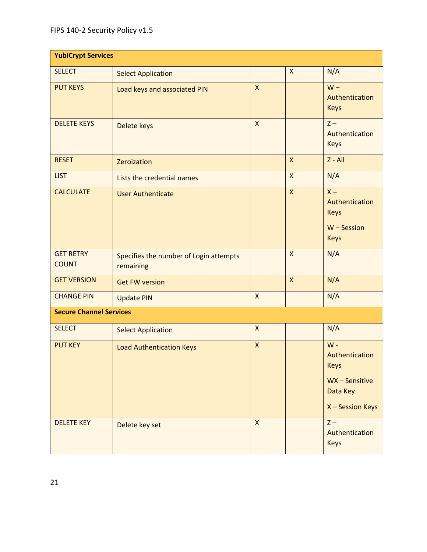| <b>YubiCrypt Services</b>        |                                                     |                    |              |                                                                                        |  |  |  |
|----------------------------------|-----------------------------------------------------|--------------------|--------------|----------------------------------------------------------------------------------------|--|--|--|
| <b>SELECT</b>                    | <b>Select Application</b>                           |                    | $\mathsf{x}$ | N/A                                                                                    |  |  |  |
| <b>PUT KEYS</b>                  | Load keys and associated PIN                        | $\mathsf{X}$       |              | $W -$<br>Authentication<br><b>Keys</b>                                                 |  |  |  |
| <b>DELETE KEYS</b>               | Delete keys                                         | X                  |              | $Z -$<br>Authentication<br><b>Keys</b>                                                 |  |  |  |
| <b>RESET</b>                     | Zeroization                                         |                    | $\mathsf{x}$ | $Z - All$                                                                              |  |  |  |
| <b>LIST</b>                      | Lists the credential names                          |                    | X            | N/A                                                                                    |  |  |  |
| <b>CALCULATE</b>                 | <b>User Authenticate</b>                            |                    | $\mathsf{x}$ | $X -$<br>Authentication<br><b>Keys</b><br>$W -$ Session<br><b>Keys</b>                 |  |  |  |
| <b>GET RETRY</b><br><b>COUNT</b> | Specifies the number of Login attempts<br>remaining |                    | $\mathsf{X}$ | N/A                                                                                    |  |  |  |
| <b>GET VERSION</b>               | <b>Get FW version</b>                               |                    | $\mathsf{X}$ | N/A                                                                                    |  |  |  |
| <b>CHANGE PIN</b>                | <b>Update PIN</b>                                   | $\pmb{\mathsf{X}}$ |              | N/A                                                                                    |  |  |  |
| <b>Secure Channel Services</b>   |                                                     |                    |              |                                                                                        |  |  |  |
| <b>SELECT</b>                    | <b>Select Application</b>                           | X                  |              | N/A                                                                                    |  |  |  |
| <b>PUT KEY</b>                   | <b>Load Authentication Keys</b>                     | $\mathsf{X}$       |              | $W -$<br>Authentication<br><b>Keys</b><br>WX-Sensitive<br>Data Key<br>X - Session Keys |  |  |  |
| <b>DELETE KEY</b>                | Delete key set                                      | $\mathsf{X}$       |              | $Z -$<br>Authentication<br><b>Keys</b>                                                 |  |  |  |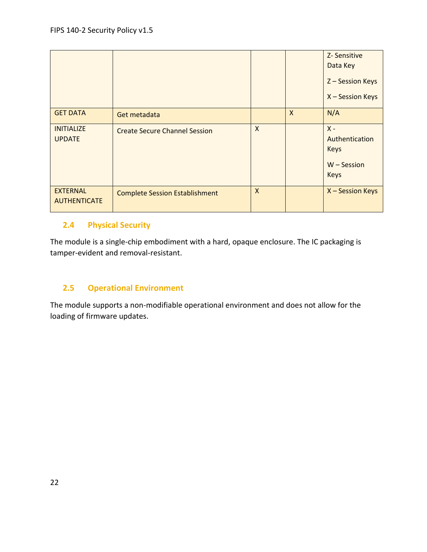|                                        |                                       |              |                           | Z-Sensitive<br>Data Key<br>Z-Session Keys<br>X - Session Keys          |
|----------------------------------------|---------------------------------------|--------------|---------------------------|------------------------------------------------------------------------|
| <b>GET DATA</b>                        | Get metadata                          |              | $\boldsymbol{\mathsf{X}}$ | N/A                                                                    |
| <b>INITIALIZE</b><br><b>UPDATE</b>     | <b>Create Secure Channel Session</b>  | X            |                           | $X -$<br>Authentication<br><b>Keys</b><br>$W -$ Session<br><b>Keys</b> |
| <b>EXTERNAL</b><br><b>AUTHENTICATE</b> | <b>Complete Session Establishment</b> | $\mathsf{x}$ |                           | X - Session Keys                                                       |

## <span id="page-21-0"></span>**2.4 Physical Security**

The module is a single-chip embodiment with a hard, opaque enclosure. The IC packaging is tamper-evident and removal-resistant.

## <span id="page-21-1"></span>**2.5 Operational Environment**

The module supports a non-modifiable operational environment and does not allow for the loading of firmware updates.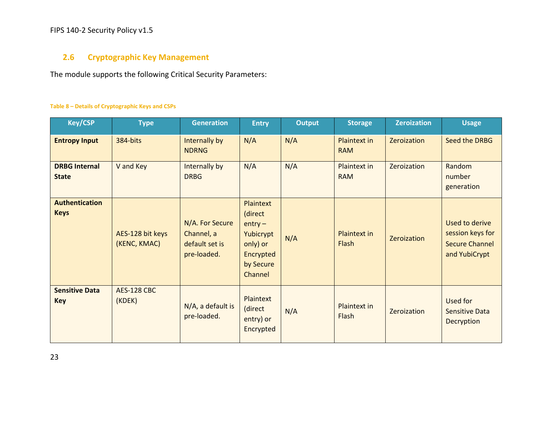## FIPS 140-2 Security Policy v1.5

## **2.6 Cryptographic Key Management**

The module supports the following Critical Security Parameters:

#### **Table 8 – Details of Cryptographic Keys and CSPs**

<span id="page-22-0"></span>

| <b>Key/CSP</b>                       | <b>Type</b>                      | <b>Generation</b>                                              | <b>Entry</b>                                                                                    | <b>Output</b> | <b>Storage</b>             | <b>Zeroization</b> | <b>Usage</b>                                                                 |
|--------------------------------------|----------------------------------|----------------------------------------------------------------|-------------------------------------------------------------------------------------------------|---------------|----------------------------|--------------------|------------------------------------------------------------------------------|
| <b>Entropy Input</b>                 | 384-bits                         | Internally by<br><b>NDRNG</b>                                  | N/A                                                                                             | N/A           | Plaintext in<br><b>RAM</b> | Zeroization        | Seed the DRBG                                                                |
| <b>DRBG Internal</b><br><b>State</b> | V and Key                        | Internally by<br><b>DRBG</b>                                   | N/A                                                                                             | N/A           | Plaintext in<br><b>RAM</b> | Zeroization        | Random<br>number<br>generation                                               |
| <b>Authentication</b><br><b>Keys</b> | AES-128 bit keys<br>(KENC, KMAC) | N/A. For Secure<br>Channel, a<br>default set is<br>pre-loaded. | Plaintext<br>(direct<br>$entry -$<br>Yubicrypt<br>only) or<br>Encrypted<br>by Secure<br>Channel | N/A           | Plaintext in<br>Flash      | Zeroization        | Used to derive<br>session keys for<br><b>Secure Channel</b><br>and YubiCrypt |
| <b>Sensitive Data</b><br><b>Key</b>  | <b>AES-128 CBC</b><br>(KDEK)     | N/A, a default is<br>pre-loaded.                               | Plaintext<br>(direct<br>entry) or<br>Encrypted                                                  | N/A           | Plaintext in<br>Flash      | Zeroization        | Used for<br><b>Sensitive Data</b><br>Decryption                              |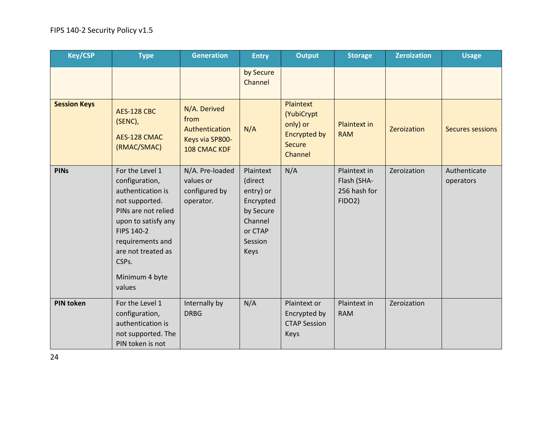| <b>Key/CSP</b>      | <b>Type</b>                                                                                                                                                                                                         | <b>Generation</b>                                                         | <b>Entry</b>                                                                                                | <b>Output</b>                                                                                 | <b>Storage</b>                                        | <b>Zeroization</b> | <b>Usage</b>              |
|---------------------|---------------------------------------------------------------------------------------------------------------------------------------------------------------------------------------------------------------------|---------------------------------------------------------------------------|-------------------------------------------------------------------------------------------------------------|-----------------------------------------------------------------------------------------------|-------------------------------------------------------|--------------------|---------------------------|
|                     |                                                                                                                                                                                                                     |                                                                           | by Secure<br>Channel                                                                                        |                                                                                               |                                                       |                    |                           |
| <b>Session Keys</b> | <b>AES-128 CBC</b><br>(SENC),<br>AES-128 CMAC<br>(RMAC/SMAC)                                                                                                                                                        | N/A. Derived<br>from<br>Authentication<br>Keys via SP800-<br>108 CMAC KDF | N/A                                                                                                         | <b>Plaintext</b><br>(YubiCrypt<br>only) or<br><b>Encrypted by</b><br><b>Secure</b><br>Channel | <b>Plaintext in</b><br><b>RAM</b>                     | Zeroization        | <b>Secures sessions</b>   |
| <b>PINs</b>         | For the Level 1<br>configuration,<br>authentication is<br>not supported.<br>PINs are not relied<br>upon to satisfy any<br>FIPS 140-2<br>requirements and<br>are not treated as<br>CSPs.<br>Minimum 4 byte<br>values | N/A. Pre-loaded<br>values or<br>configured by<br>operator.                | Plaintext<br>(direct<br>entry) or<br>Encrypted<br>by Secure<br>Channel<br>or CTAP<br>Session<br><b>Keys</b> | N/A                                                                                           | Plaintext in<br>Flash (SHA-<br>256 hash for<br>FIDO2) | Zeroization        | Authenticate<br>operators |
| <b>PIN token</b>    | For the Level 1<br>configuration,<br>authentication is<br>not supported. The<br>PIN token is not                                                                                                                    | Internally by<br><b>DRBG</b>                                              | N/A                                                                                                         | Plaintext or<br>Encrypted by<br><b>CTAP Session</b><br>Keys                                   | Plaintext in<br><b>RAM</b>                            | Zeroization        |                           |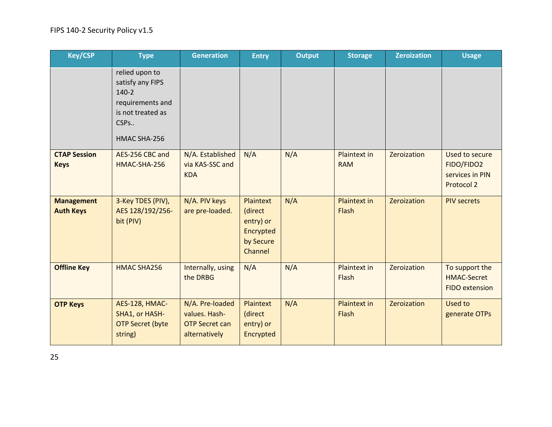| <b>Key/CSP</b>                        | <b>Type</b>                                                                                                    | <b>Generation</b>                                                          | <b>Entry</b>                                                                  | <b>Output</b> | <b>Storage</b>                    | <b>Zeroization</b> | <b>Usage</b>                                                  |
|---------------------------------------|----------------------------------------------------------------------------------------------------------------|----------------------------------------------------------------------------|-------------------------------------------------------------------------------|---------------|-----------------------------------|--------------------|---------------------------------------------------------------|
|                                       | relied upon to<br>satisfy any FIPS<br>$140-2$<br>requirements and<br>is not treated as<br>CSPs<br>HMAC SHA-256 |                                                                            |                                                                               |               |                                   |                    |                                                               |
| <b>CTAP Session</b><br><b>Keys</b>    | AES-256 CBC and<br>HMAC-SHA-256                                                                                | N/A. Established<br>via KAS-SSC and<br><b>KDA</b>                          | N/A                                                                           | N/A           | <b>Plaintext in</b><br><b>RAM</b> | Zeroization        | Used to secure<br>FIDO/FIDO2<br>services in PIN<br>Protocol 2 |
| <b>Management</b><br><b>Auth Keys</b> | 3-Key TDES (PIV),<br>AES 128/192/256-<br>bit (PIV)                                                             | N/A. PIV keys<br>are pre-loaded.                                           | <b>Plaintext</b><br>(direct<br>entry) or<br>Encrypted<br>by Secure<br>Channel | N/A           | <b>Plaintext in</b><br>Flash      | Zeroization        | <b>PIV secrets</b>                                            |
| <b>Offline Key</b>                    | <b>HMAC SHA256</b>                                                                                             | Internally, using<br>the DRBG                                              | N/A                                                                           | N/A           | Plaintext in<br>Flash             | Zeroization        | To support the<br><b>HMAC-Secret</b><br><b>FIDO</b> extension |
| <b>OTP Keys</b>                       | AES-128, HMAC-<br>SHA1, or HASH-<br><b>OTP Secret (byte</b><br>string)                                         | N/A. Pre-loaded<br>values. Hash-<br><b>OTP Secret can</b><br>alternatively | <b>Plaintext</b><br>(direct<br>entry) or<br>Encrypted                         | N/A           | <b>Plaintext in</b><br>Flash      | Zeroization        | Used to<br>generate OTPs                                      |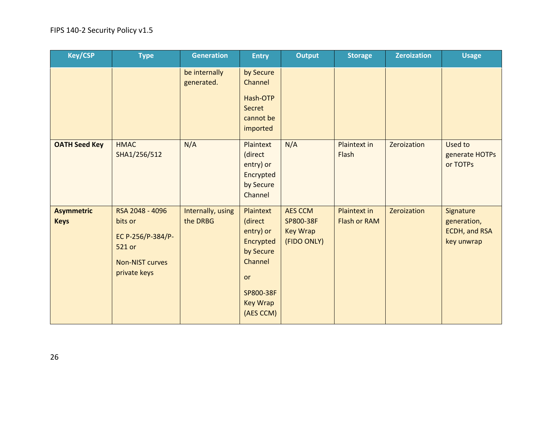| <b>Key/CSP</b>                   | <b>Type</b>                                                                                         | <b>Generation</b>             | <b>Entry</b>                                                                                                              | <b>Output</b>                                                 | <b>Storage</b>                             | <b>Zeroization</b> | <b>Usage</b>                                            |
|----------------------------------|-----------------------------------------------------------------------------------------------------|-------------------------------|---------------------------------------------------------------------------------------------------------------------------|---------------------------------------------------------------|--------------------------------------------|--------------------|---------------------------------------------------------|
|                                  |                                                                                                     | be internally<br>generated.   | by Secure<br>Channel<br>Hash-OTP<br>Secret<br>cannot be<br>imported                                                       |                                                               |                                            |                    |                                                         |
| <b>OATH Seed Key</b>             | <b>HMAC</b><br>SHA1/256/512                                                                         | N/A                           | Plaintext<br>(direct<br>entry) or<br>Encrypted<br>by Secure<br>Channel                                                    | N/A                                                           | Plaintext in<br>Flash                      | Zeroization        | Used to<br>generate HOTPs<br>or TOTPs                   |
| <b>Asymmetric</b><br><b>Keys</b> | RSA 2048 - 4096<br>bits or<br>EC P-256/P-384/P-<br>521 or<br><b>Non-NIST curves</b><br>private keys | Internally, using<br>the DRBG | Plaintext<br>(direct<br>entry) or<br>Encrypted<br>by Secure<br>Channel<br>or<br>SP800-38F<br><b>Key Wrap</b><br>(AES CCM) | <b>AES CCM</b><br>SP800-38F<br><b>Key Wrap</b><br>(FIDO ONLY) | <b>Plaintext in</b><br><b>Flash or RAM</b> | Zeroization        | Signature<br>generation,<br>ECDH, and RSA<br>key unwrap |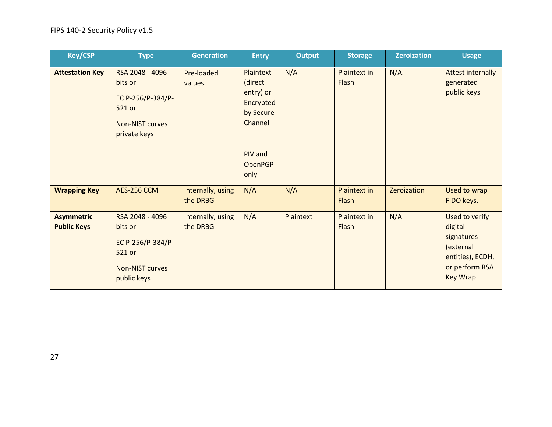| <b>Key/CSP</b>                          | <b>Type</b>                                                                                         | <b>Generation</b>             | <b>Entry</b>                                                                                         | <b>Output</b> | <b>Storage</b>        | <b>Zeroization</b> | <b>Usage</b>                                                                                                  |
|-----------------------------------------|-----------------------------------------------------------------------------------------------------|-------------------------------|------------------------------------------------------------------------------------------------------|---------------|-----------------------|--------------------|---------------------------------------------------------------------------------------------------------------|
| <b>Attestation Key</b>                  | RSA 2048 - 4096<br>bits or<br>EC P-256/P-384/P-<br>521 or<br><b>Non-NIST curves</b><br>private keys | Pre-loaded<br>values.         | Plaintext<br>(direct<br>entry) or<br>Encrypted<br>by Secure<br>Channel<br>PIV and<br>OpenPGP<br>only | N/A           | Plaintext in<br>Flash | $N/A$ .            | <b>Attest internally</b><br>generated<br>public keys                                                          |
| <b>Wrapping Key</b>                     | <b>AES-256 CCM</b>                                                                                  | Internally, using<br>the DRBG | N/A                                                                                                  | N/A           | Plaintext in<br>Flash | Zeroization        | Used to wrap<br>FIDO keys.                                                                                    |
| <b>Asymmetric</b><br><b>Public Keys</b> | RSA 2048 - 4096<br>bits or<br>EC P-256/P-384/P-<br>521 or<br><b>Non-NIST curves</b><br>public keys  | Internally, using<br>the DRBG | N/A                                                                                                  | Plaintext     | Plaintext in<br>Flash | N/A                | Used to verify<br>digital<br>signatures<br>(external<br>entities), ECDH,<br>or perform RSA<br><b>Key Wrap</b> |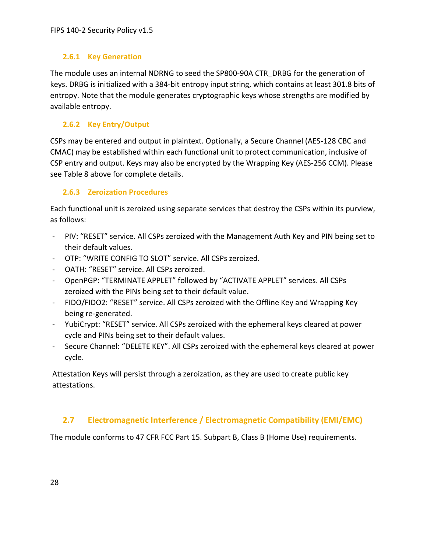## <span id="page-27-0"></span>**2.6.1 Key Generation**

The module uses an internal NDRNG to seed the SP800-90A CTR\_DRBG for the generation of keys. DRBG is initialized with a 384-bit entropy input string, which contains at least 301.8 bits of entropy. Note that the module generates cryptographic keys whose strengths are modified by available entropy.

## <span id="page-27-1"></span>**2.6.2 Key Entry/Output**

CSPs may be entered and output in plaintext. Optionally, a Secure Channel (AES-128 CBC and CMAC) may be established within each functional unit to protect communication, inclusive of CSP entry and output. Keys may also be encrypted by the Wrapping Key (AES-256 CCM). Please see Table 8 above for complete details.

## <span id="page-27-2"></span>**2.6.3 Zeroization Procedures**

Each functional unit is zeroized using separate services that destroy the CSPs within its purview, as follows:

- PIV: "RESET" service. All CSPs zeroized with the Management Auth Key and PIN being set to their default values.
- OTP: "WRITE CONFIG TO SLOT" service. All CSPs zeroized.
- OATH: "RESET" service. All CSPs zeroized.
- OpenPGP: "TERMINATE APPLET" followed by "ACTIVATE APPLET" services. All CSPs zeroized with the PINs being set to their default value.
- FIDO/FIDO2: "RESET" service. All CSPs zeroized with the Offline Key and Wrapping Key being re-generated.
- YubiCrypt: "RESET" service. All CSPs zeroized with the ephemeral keys cleared at power cycle and PINs being set to their default values.
- Secure Channel: "DELETE KEY". All CSPs zeroized with the ephemeral keys cleared at power cycle.

Attestation Keys will persist through a zeroization, as they are used to create public key attestations.

## <span id="page-27-3"></span>**2.7 Electromagnetic Interference / Electromagnetic Compatibility (EMI/EMC)**

The module conforms to 47 CFR FCC Part 15. Subpart B, Class B (Home Use) requirements.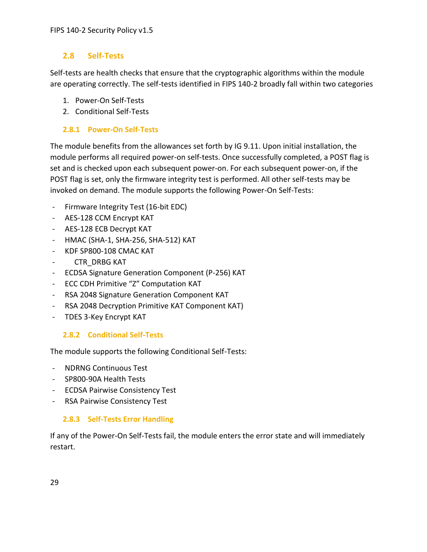## <span id="page-28-0"></span>**2.8 Self-Tests**

Self-tests are health checks that ensure that the cryptographic algorithms within the module are operating correctly. The self-tests identified in FIPS 140-2 broadly fall within two categories

- 1. Power-On Self-Tests
- 2. Conditional Self-Tests

## <span id="page-28-1"></span>**2.8.1 Power-On Self-Tests**

The module benefits from the allowances set forth by IG 9.11. Upon initial installation, the module performs all required power-on self-tests. Once successfully completed, a POST flag is set and is checked upon each subsequent power-on. For each subsequent power-on, if the POST flag is set, only the firmware integrity test is performed. All other self-tests may be invoked on demand. The module supports the following Power-On Self-Tests:

- Firmware Integrity Test (16-bit EDC)
- AES-128 CCM Encrypt KAT
- AES-128 ECB Decrypt KAT
- HMAC (SHA-1, SHA-256, SHA-512) KAT
- KDF SP800-108 CMAC KAT
- CTR\_DRBG KAT
- ECDSA Signature Generation Component (P-256) KAT
- ECC CDH Primitive "Z" Computation KAT
- RSA 2048 Signature Generation Component KAT
- RSA 2048 Decryption Primitive KAT Component KAT)
- TDES 3-Key Encrypt KAT

## <span id="page-28-2"></span>**2.8.2 Conditional Self-Tests**

The module supports the following Conditional Self-Tests:

- NDRNG Continuous Test
- SP800-90A Health Tests
- ECDSA Pairwise Consistency Test
- RSA Pairwise Consistency Test

## <span id="page-28-3"></span>**2.8.3 Self-Tests Error Handling**

If any of the Power-On Self-Tests fail, the module enters the error state and will immediately restart.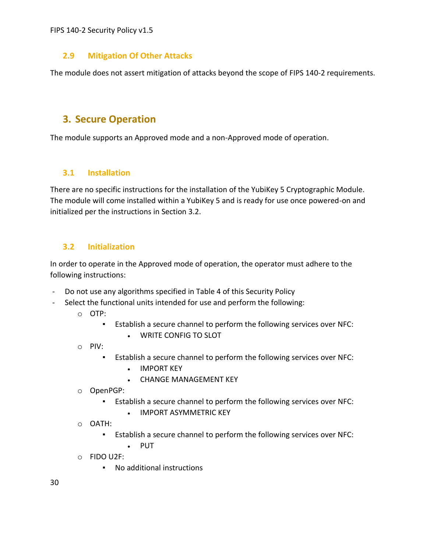## <span id="page-29-0"></span>**2.9 Mitigation Of Other Attacks**

The module does not assert mitigation of attacks beyond the scope of FIPS 140-2 requirements.

## <span id="page-29-1"></span>**3. Secure Operation**

The module supports an Approved mode and a non-Approved mode of operation.

## <span id="page-29-2"></span>**3.1 Installation**

There are no specific instructions for the installation of the YubiKey 5 Cryptographic Module. The module will come installed within a YubiKey 5 and is ready for use once powered-on and initialized per the instructions in Section 3.2.

## <span id="page-29-3"></span>**3.2 Initialization**

In order to operate in the Approved mode of operation, the operator must adhere to the following instructions:

- Do not use any algorithms specified in Table 4 of this Security Policy
- Select the functional units intended for use and perform the following:
	- o OTP:
		- Establish a secure channel to perform the following services over NFC:
			- WRITE CONFIG TO SLOT
	- o PIV:
		- Establish a secure channel to perform the following services over NFC:
			- IMPORT KEY
			- CHANGE MANAGEMENT KEY
	- o OpenPGP:
		- Establish a secure channel to perform the following services over NFC:
			- IMPORT ASYMMETRIC KEY
	- o OATH:
		- Establish a secure channel to perform the following services over NFC:
			- PUT
	- o FIDO U2F:
		- No additional instructions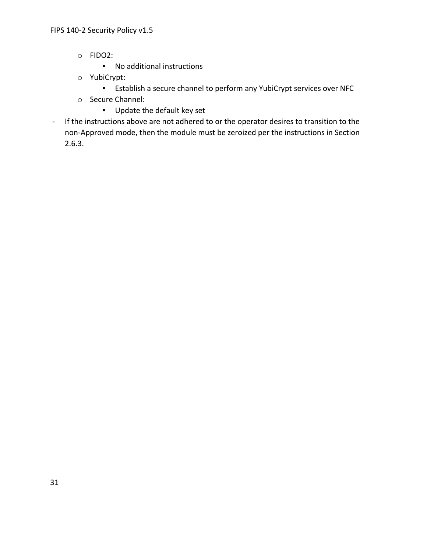- o FIDO2:
	- No additional instructions
- o YubiCrypt:
	- Establish a secure channel to perform any YubiCrypt services over NFC
- o Secure Channel:
	- Update the default key set
- If the instructions above are not adhered to or the operator desires to transition to the non-Approved mode, then the module must be zeroized per the instructions in Section 2.6.3.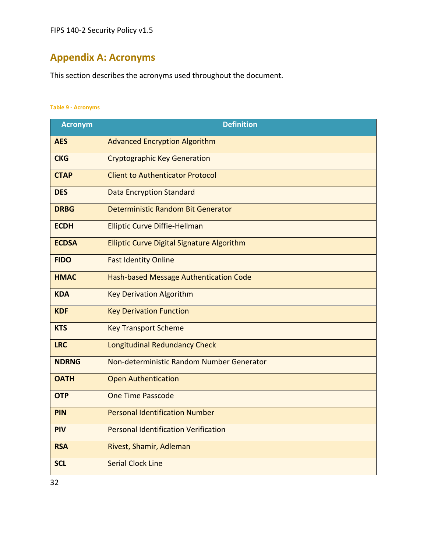## <span id="page-31-0"></span>**Appendix A: Acronyms**

This section describes the acronyms used throughout the document.

#### **Table 9 - Acronyms**

| <b>Acronym</b> | <b>Definition</b>                                 |  |  |  |  |
|----------------|---------------------------------------------------|--|--|--|--|
| <b>AES</b>     | <b>Advanced Encryption Algorithm</b>              |  |  |  |  |
| <b>CKG</b>     | <b>Cryptographic Key Generation</b>               |  |  |  |  |
| <b>CTAP</b>    | <b>Client to Authenticator Protocol</b>           |  |  |  |  |
| <b>DES</b>     | <b>Data Encryption Standard</b>                   |  |  |  |  |
| <b>DRBG</b>    | Deterministic Random Bit Generator                |  |  |  |  |
| <b>ECDH</b>    | <b>Elliptic Curve Diffie-Hellman</b>              |  |  |  |  |
| <b>ECDSA</b>   | <b>Elliptic Curve Digital Signature Algorithm</b> |  |  |  |  |
| <b>FIDO</b>    | <b>Fast Identity Online</b>                       |  |  |  |  |
| <b>HMAC</b>    | Hash-based Message Authentication Code            |  |  |  |  |
| <b>KDA</b>     | <b>Key Derivation Algorithm</b>                   |  |  |  |  |
| <b>KDF</b>     | <b>Key Derivation Function</b>                    |  |  |  |  |
| <b>KTS</b>     | <b>Key Transport Scheme</b>                       |  |  |  |  |
| <b>LRC</b>     | Longitudinal Redundancy Check                     |  |  |  |  |
| <b>NDRNG</b>   | Non-deterministic Random Number Generator         |  |  |  |  |
| <b>OATH</b>    | <b>Open Authentication</b>                        |  |  |  |  |
| <b>OTP</b>     | <b>One Time Passcode</b>                          |  |  |  |  |
| <b>PIN</b>     | <b>Personal Identification Number</b>             |  |  |  |  |
| <b>PIV</b>     | <b>Personal Identification Verification</b>       |  |  |  |  |
| <b>RSA</b>     | Rivest, Shamir, Adleman                           |  |  |  |  |
| <b>SCL</b>     | <b>Serial Clock Line</b>                          |  |  |  |  |